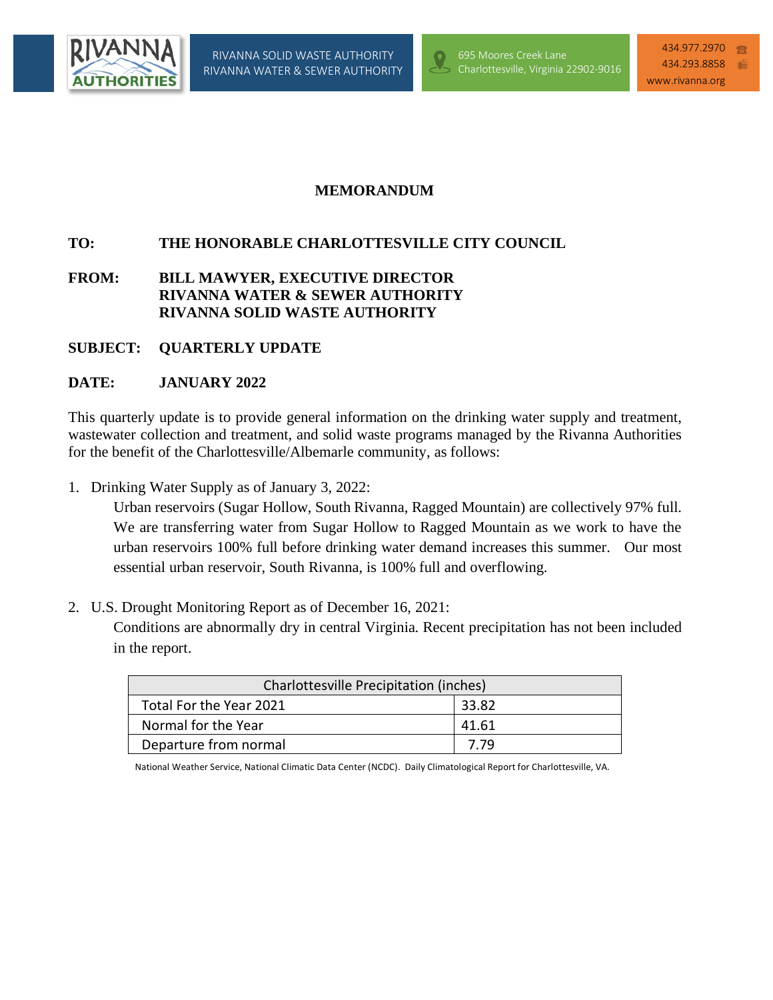



## **MEMORANDUM**

RIVANNA WATER & SEWER AUTHORITY

# **TO: THE HONORABLE CHARLOTTESVILLE CITY COUNCIL**

## **FROM: BILL MAWYER, EXECUTIVE DIRECTOR RIVANNA WATER & SEWER AUTHORITY RIVANNA SOLID WASTE AUTHORITY**

### **SUBJECT: QUARTERLY UPDATE**

### **DATE: JANUARY 2022**

This quarterly update is to provide general information on the drinking water supply and treatment, wastewater collection and treatment, and solid waste programs managed by the Rivanna Authorities for the benefit of the Charlottesville/Albemarle community, as follows:

1. Drinking Water Supply as of January 3, 2022:

Urban reservoirs (Sugar Hollow, South Rivanna, Ragged Mountain) are collectively 97% full. We are transferring water from Sugar Hollow to Ragged Mountain as we work to have the urban reservoirs 100% full before drinking water demand increases this summer. Our most essential urban reservoir, South Rivanna, is 100% full and overflowing.

2. U.S. Drought Monitoring Report as of December 16, 2021:

Conditions are abnormally dry in central Virginia. Recent precipitation has not been included in the report.

| Charlottesville Precipitation (inches) |       |  |  |
|----------------------------------------|-------|--|--|
| Total For the Year 2021                | 33.82 |  |  |
| Normal for the Year                    | 41.61 |  |  |
| Departure from normal                  | 7 79  |  |  |

National Weather Service, National Climatic Data Center (NCDC). Daily Climatological Report for Charlottesville, VA.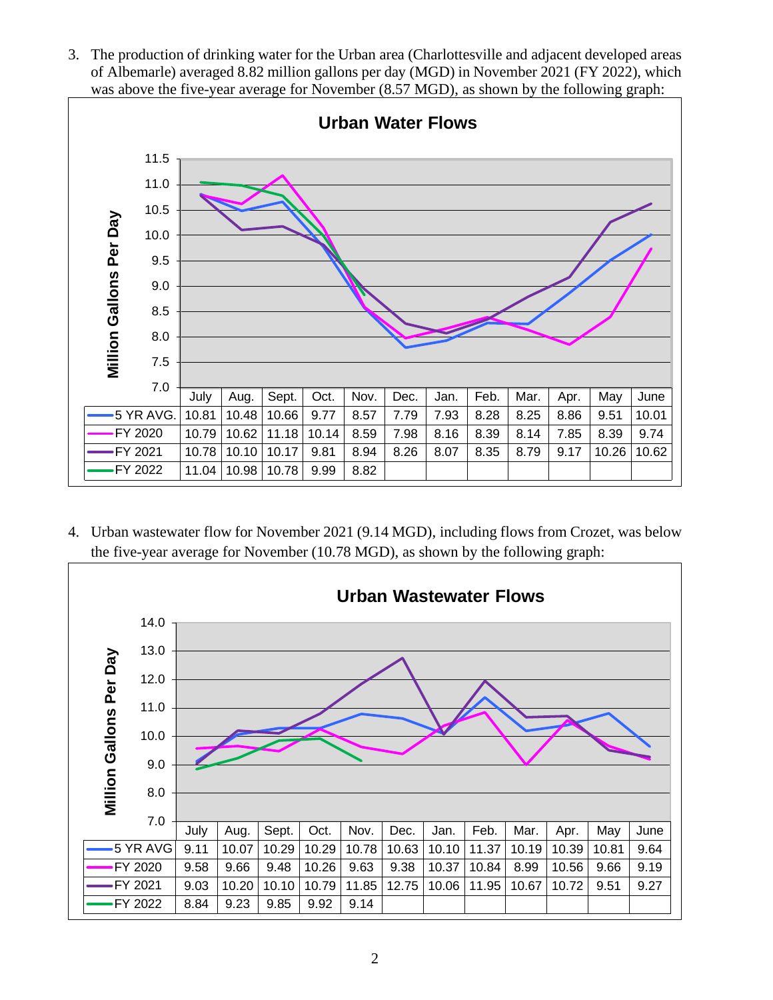3. The production of drinking water for the Urban area (Charlottesville and adjacent developed areas of Albemarle) averaged 8.82 million gallons per day (MGD) in November 2021 (FY 2022), which was above the five-year average for November (8.57 MGD), as shown by the following graph:



4. Urban wastewater flow for November 2021 (9.14 MGD), including flows from Crozet, was below the five-year average for November (10.78 MGD), as shown by the following graph:

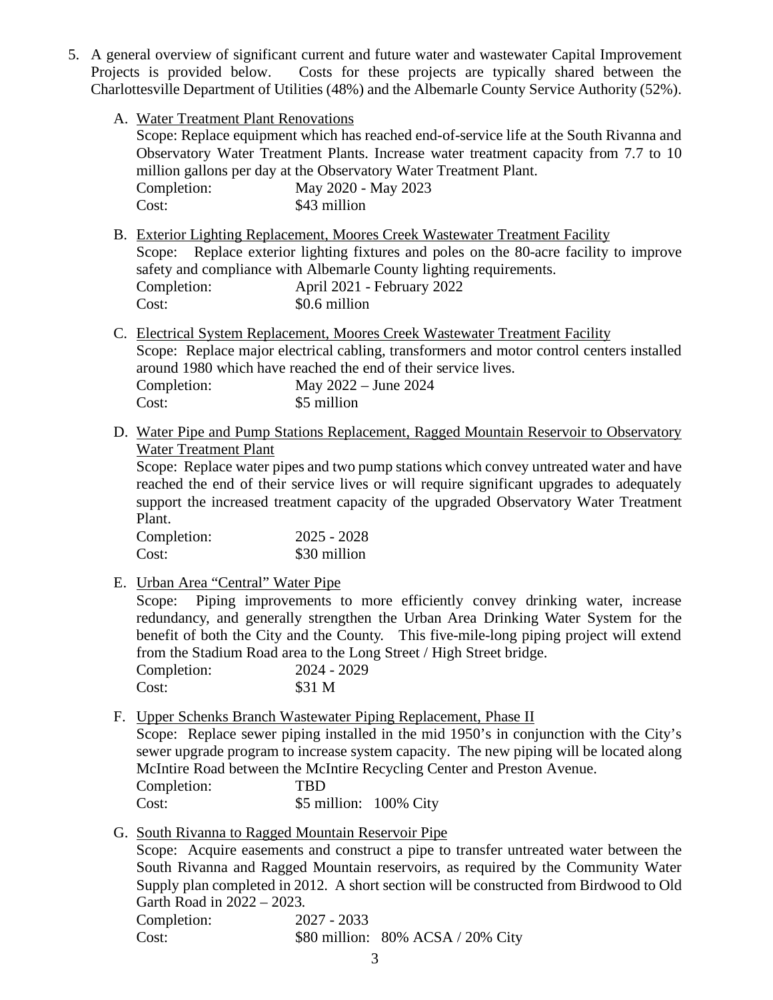- 5. A general overview of significant current and future water and wastewater Capital Improvement Projects is provided below. Costs for these projects are typically shared between the Charlottesville Department of Utilities (48%) and the Albemarle County Service Authority (52%).
	- A. Water Treatment Plant Renovations

Scope: Replace equipment which has reached end-of-service life at the South Rivanna and Observatory Water Treatment Plants. Increase water treatment capacity from 7.7 to 10 million gallons per day at the Observatory Water Treatment Plant.

| Completion: |  | May 2020 - May 2023 |
|-------------|--|---------------------|
| Cost:       |  | \$43 million        |

- B. Exterior Lighting Replacement, Moores Creek Wastewater Treatment Facility Scope: Replace exterior lighting fixtures and poles on the 80-acre facility to improve safety and compliance with Albemarle County lighting requirements. Completion: April 2021 - February 2022 Cost:  $$0.6$  million
- C. Electrical System Replacement, Moores Creek Wastewater Treatment Facility Scope: Replace major electrical cabling, transformers and motor control centers installed around 1980 which have reached the end of their service lives. Completion: May 2022 – June 2024 Cost: \$5 million
- D. Water Pipe and Pump Stations Replacement, Ragged Mountain Reservoir to Observatory Water Treatment Plant

Scope: Replace water pipes and two pump stations which convey untreated water and have reached the end of their service lives or will require significant upgrades to adequately support the increased treatment capacity of the upgraded Observatory Water Treatment Plant.

| Completion: | $2025 - 2028$ |
|-------------|---------------|
| Cost:       | \$30 million  |

E. Urban Area "Central" Water Pipe

Scope: Piping improvements to more efficiently convey drinking water, increase redundancy, and generally strengthen the Urban Area Drinking Water System for the benefit of both the City and the County. This five-mile-long piping project will extend from the Stadium Road area to the Long Street / High Street bridge.

| Completion: | 2024 - 2029 |
|-------------|-------------|
| Cost:       | \$31 M      |
|             |             |

F. Upper Schenks Branch Wastewater Piping Replacement, Phase II

Scope: Replace sewer piping installed in the mid 1950's in conjunction with the City's sewer upgrade program to increase system capacity. The new piping will be located along McIntire Road between the McIntire Recycling Center and Preston Avenue. Completion: TBD

- Cost: \$5 million: 100% City
- G. South Rivanna to Ragged Mountain Reservoir Pipe

Scope: Acquire easements and construct a pipe to transfer untreated water between the South Rivanna and Ragged Mountain reservoirs, as required by the Community Water Supply plan completed in 2012. A short section will be constructed from Birdwood to Old Garth Road in 2022 – 2023.

| Completion: | $2027 - 2033$ |                                   |
|-------------|---------------|-----------------------------------|
| Cost:       |               | \$80 million: 80% ACSA / 20% City |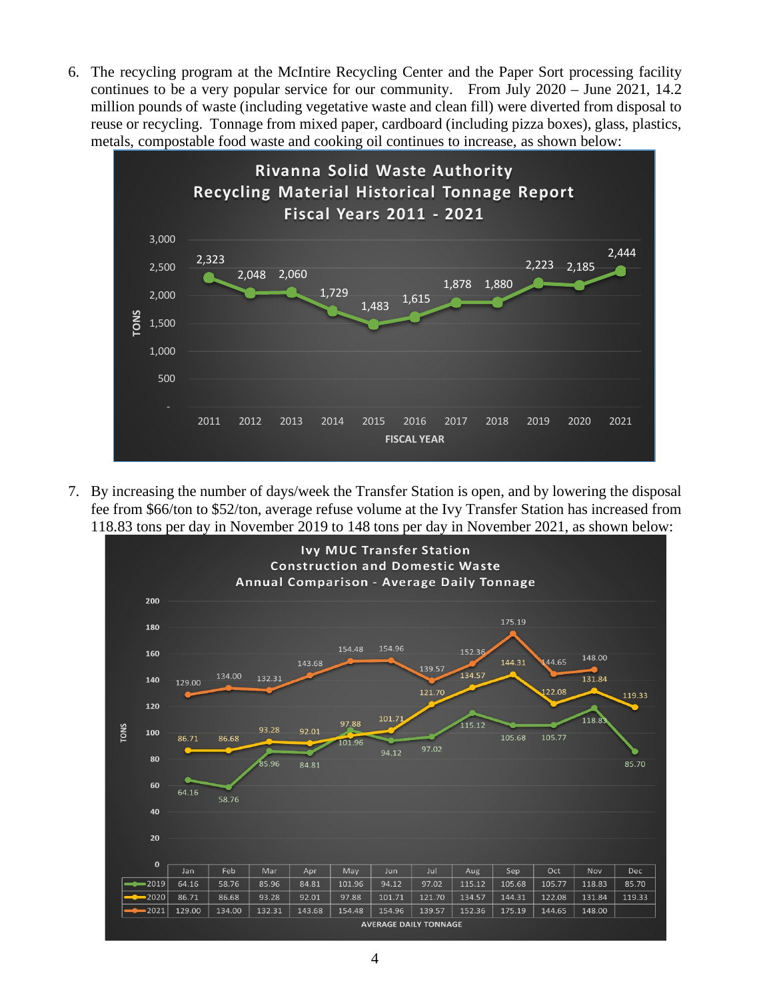6. The recycling program at the McIntire Recycling Center and the Paper Sort processing facility continues to be a very popular service for our community. From July 2020 – June 2021, 14.2 million pounds of waste (including vegetative waste and clean fill) were diverted from disposal to reuse or recycling. Tonnage from mixed paper, cardboard (including pizza boxes), glass, plastics, metals, compostable food waste and cooking oil continues to increase, as shown below:



7. By increasing the number of days/week the Transfer Station is open, and by lowering the disposal fee from \$66/ton to \$52/ton, average refuse volume at the Ivy Transfer Station has increased from 118.83 tons per day in November 2019 to 148 tons per day in November 2021, as shown below: